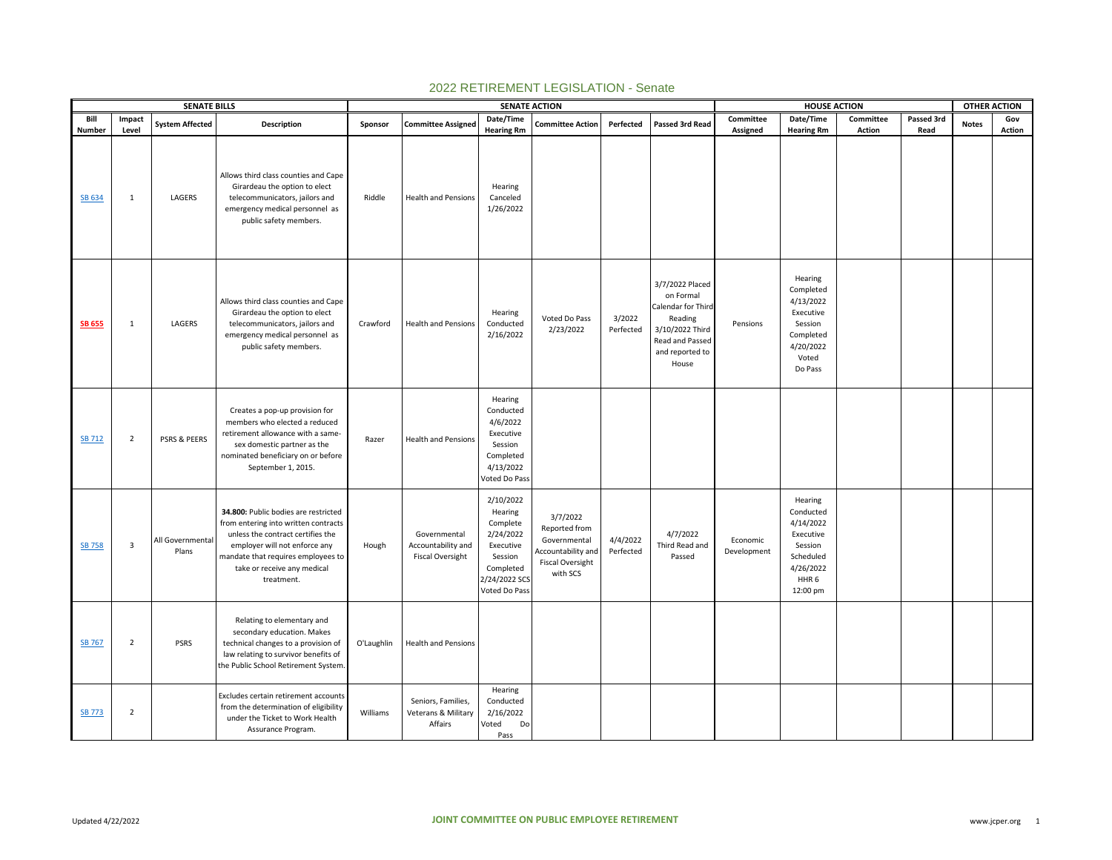|                  |                | <b>SENATE BILLS</b>       |                                                                                                                                                                                                                                       |            |                                                               | <b>SENATE ACTION</b>                                                                                                 |                                                                                                               |                       |                                                                                                                                 |                         | <b>HOUSE ACTION</b>                                                                                                 |               |            | <b>OTHER ACTION</b> |        |
|------------------|----------------|---------------------------|---------------------------------------------------------------------------------------------------------------------------------------------------------------------------------------------------------------------------------------|------------|---------------------------------------------------------------|----------------------------------------------------------------------------------------------------------------------|---------------------------------------------------------------------------------------------------------------|-----------------------|---------------------------------------------------------------------------------------------------------------------------------|-------------------------|---------------------------------------------------------------------------------------------------------------------|---------------|------------|---------------------|--------|
| Bill             | Impact         | <b>System Affected</b>    | Description                                                                                                                                                                                                                           | Sponsor    | <b>Committee Assigned</b>                                     | Date/Time                                                                                                            | <b>Committee Action</b>                                                                                       | Perfected             | Passed 3rd Read                                                                                                                 | Committee               | Date/Time                                                                                                           | Committee     | Passed 3rd | <b>Notes</b>        | Gov    |
| Number<br>SB 634 | Level<br>1     | LAGERS                    | Allows third class counties and Cape<br>Girardeau the option to elect<br>telecommunicators, jailors and<br>emergency medical personnel as<br>public safety members.                                                                   | Riddle     | <b>Health and Pensions</b>                                    | <b>Hearing Rm</b><br>Hearing<br>Canceled<br>1/26/2022                                                                |                                                                                                               |                       |                                                                                                                                 | Assigned                | <b>Hearing Rm</b>                                                                                                   | <b>Action</b> | Read       |                     | Action |
| <b>SB 655</b>    | 1              | LAGERS                    | Allows third class counties and Cape<br>Girardeau the option to elect<br>telecommunicators, jailors and<br>emergency medical personnel as<br>public safety members.                                                                   | Crawford   | <b>Health and Pensions</b>                                    | Hearing<br>Conducted<br>2/16/2022                                                                                    | Voted Do Pass<br>2/23/2022                                                                                    | 3/2022<br>Perfected   | 3/7/2022 Placed<br>on Formal<br>Calendar for Third<br>Reading<br>3/10/2022 Third<br>Read and Passed<br>and reported to<br>House | Pensions                | Hearing<br>Completed<br>4/13/2022<br>Executive<br>Session<br>Completed<br>4/20/2022<br>Voted<br>Do Pass             |               |            |                     |        |
| SB 712           | $\overline{2}$ | PSRS & PEERS              | Creates a pop-up provision for<br>members who elected a reduced<br>retirement allowance with a same-<br>sex domestic partner as the<br>nominated beneficiary on or before<br>September 1, 2015.                                       | Razer      | <b>Health and Pensions</b>                                    | Hearing<br>Conducted<br>4/6/2022<br>Executive<br>Session<br>Completed<br>4/13/2022<br>Voted Do Pass                  |                                                                                                               |                       |                                                                                                                                 |                         |                                                                                                                     |               |            |                     |        |
| <b>SB 758</b>    | 3              | All Governmental<br>Plans | 34.800: Public bodies are restricted<br>from entering into written contracts<br>unless the contract certifies the<br>employer will not enforce any<br>mandate that requires employees to<br>take or receive any medical<br>treatment. | Hough      | Governmental<br>Accountability and<br><b>Fiscal Oversight</b> | 2/10/2022<br>Hearing<br>Complete<br>2/24/2022<br>Executive<br>Session<br>Completed<br>2/24/2022 SCS<br>Voted Do Pass | 3/7/2022<br>Reported from<br>Governmental<br><b>Accountability and</b><br><b>Fiscal Oversight</b><br>with SCS | 4/4/2022<br>Perfected | 4/7/2022<br>Third Read and<br>Passed                                                                                            | Economic<br>Development | Hearing<br>Conducted<br>4/14/2022<br>Executive<br>Session<br>Scheduled<br>4/26/2022<br>HHR <sub>6</sub><br>12:00 pm |               |            |                     |        |
| <b>SB 767</b>    | $\overline{2}$ | <b>PSRS</b>               | Relating to elementary and<br>secondary education. Makes<br>technical changes to a provision of<br>law relating to survivor benefits of<br>the Public School Retirement System.                                                       | O'Laughlin | <b>Health and Pensions</b>                                    |                                                                                                                      |                                                                                                               |                       |                                                                                                                                 |                         |                                                                                                                     |               |            |                     |        |
| <b>SB 773</b>    | $\overline{2}$ |                           | Excludes certain retirement accounts<br>from the determination of eligibility<br>under the Ticket to Work Health<br>Assurance Program.                                                                                                | Williams   | Seniors, Families,<br>Veterans & Military<br>Affairs          | Hearing<br>Conducted<br>2/16/2022<br>Voted<br>Do<br>Pass                                                             |                                                                                                               |                       |                                                                                                                                 |                         |                                                                                                                     |               |            |                     |        |

## 2022 RETIREMENT LEGISLATION - Senate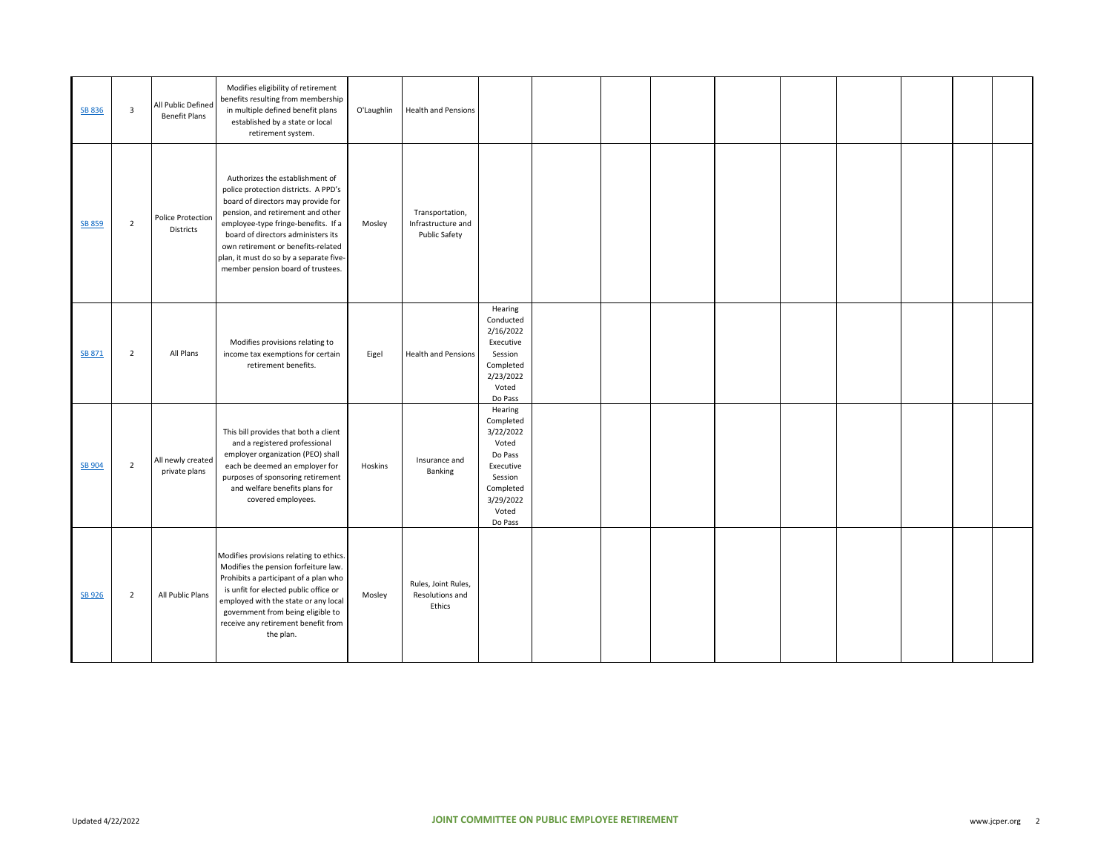| SB 836        | $\overline{\mathbf{3}}$ | All Public Defined<br><b>Benefit Plans</b> | Modifies eligibility of retirement<br>benefits resulting from membership<br>in multiple defined benefit plans<br>established by a state or local<br>retirement system.                                                                                                                                                                                | O'Laughlin | <b>Health and Pensions</b>                             |                                                                                                                             |  |  |  |  |  |
|---------------|-------------------------|--------------------------------------------|-------------------------------------------------------------------------------------------------------------------------------------------------------------------------------------------------------------------------------------------------------------------------------------------------------------------------------------------------------|------------|--------------------------------------------------------|-----------------------------------------------------------------------------------------------------------------------------|--|--|--|--|--|
| <b>SB 859</b> | $\overline{2}$          | Police Protection<br>Districts             | Authorizes the establishment of<br>police protection districts. A PPD's<br>board of directors may provide for<br>pension, and retirement and other<br>employee-type fringe-benefits. If a<br>board of directors administers its<br>own retirement or benefits-related<br>plan, it must do so by a separate five-<br>member pension board of trustees. | Mosley     | Transportation,<br>Infrastructure and<br>Public Safety |                                                                                                                             |  |  |  |  |  |
| SB 871        | $\overline{2}$          | All Plans                                  | Modifies provisions relating to<br>income tax exemptions for certain<br>retirement benefits.                                                                                                                                                                                                                                                          | Eigel      | <b>Health and Pensions</b>                             | Hearing<br>Conducted<br>2/16/2022<br>Executive<br>Session<br>Completed<br>2/23/2022<br>Voted<br>Do Pass                     |  |  |  |  |  |
| SB 904        | $\overline{2}$          | All newly created<br>private plans         | This bill provides that both a client<br>and a registered professional<br>employer organization (PEO) shall<br>each be deemed an employer for<br>purposes of sponsoring retirement<br>and welfare benefits plans for<br>covered employees.                                                                                                            | Hoskins    | Insurance and<br>Banking                               | Hearing<br>Completed<br>3/22/2022<br>Voted<br>Do Pass<br>Executive<br>Session<br>Completed<br>3/29/2022<br>Voted<br>Do Pass |  |  |  |  |  |
| SB 926        | $\overline{2}$          | All Public Plans                           | Modifies provisions relating to ethics.<br>Modifies the pension forfeiture law.<br>Prohibits a participant of a plan who<br>is unfit for elected public office or<br>employed with the state or any local<br>government from being eligible to<br>receive any retirement benefit from<br>the plan.                                                    | Mosley     | Rules, Joint Rules,<br>Resolutions and<br>Ethics       |                                                                                                                             |  |  |  |  |  |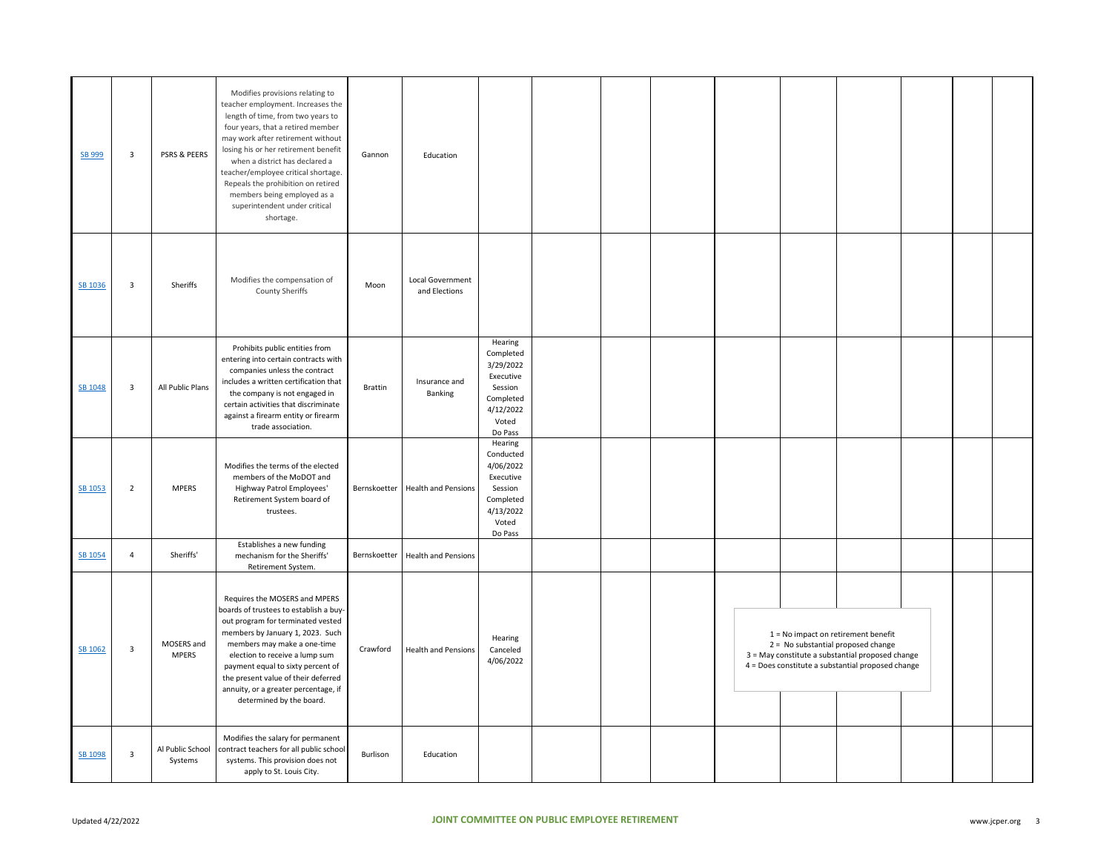| SB 999  | $\overline{\mathbf{3}}$ | PSRS & PEERS                | Modifies provisions relating to<br>teacher employment. Increases the<br>length of time, from two years to<br>four years, that a retired member<br>may work after retirement without<br>losing his or her retirement benefit<br>when a district has declared a<br>teacher/employee critical shortage.<br>Repeals the prohibition on retired<br>members being employed as a<br>superintendent under critical<br>shortage. | Gannon   | Education                         |                                                                                                         |  |  |                                                                                                                                                                                      |  |  |
|---------|-------------------------|-----------------------------|-------------------------------------------------------------------------------------------------------------------------------------------------------------------------------------------------------------------------------------------------------------------------------------------------------------------------------------------------------------------------------------------------------------------------|----------|-----------------------------------|---------------------------------------------------------------------------------------------------------|--|--|--------------------------------------------------------------------------------------------------------------------------------------------------------------------------------------|--|--|
| SB 1036 | $\overline{\mathbf{3}}$ | Sheriffs                    | Modifies the compensation of<br><b>County Sheriffs</b>                                                                                                                                                                                                                                                                                                                                                                  | Moon     | Local Government<br>and Elections |                                                                                                         |  |  |                                                                                                                                                                                      |  |  |
| SB 1048 | $\overline{\mathbf{3}}$ | All Public Plans            | Prohibits public entities from<br>entering into certain contracts with<br>companies unless the contract<br>includes a written certification that<br>the company is not engaged in<br>certain activities that discriminate<br>against a firearm entity or firearm<br>trade association.                                                                                                                                  | Brattin  | Insurance and<br>Banking          | Hearing<br>Completed<br>3/29/2022<br>Executive<br>Session<br>Completed<br>4/12/2022<br>Voted<br>Do Pass |  |  |                                                                                                                                                                                      |  |  |
| SB 1053 | $\overline{2}$          | <b>MPERS</b>                | Modifies the terms of the elected<br>members of the MoDOT and<br>Highway Patrol Employees'<br>Retirement System board of<br>trustees.                                                                                                                                                                                                                                                                                   |          | Bernskoetter Health and Pensions  | Hearing<br>Conducted<br>4/06/2022<br>Executive<br>Session<br>Completed<br>4/13/2022<br>Voted<br>Do Pass |  |  |                                                                                                                                                                                      |  |  |
| SB 1054 | $\overline{4}$          | Sheriffs'                   | Establishes a new funding<br>mechanism for the Sheriffs'<br>Retirement System.                                                                                                                                                                                                                                                                                                                                          |          | Bernskoetter Health and Pensions  |                                                                                                         |  |  |                                                                                                                                                                                      |  |  |
| SB 1062 | $\overline{\mathbf{3}}$ | MOSERS and<br><b>MPERS</b>  | Requires the MOSERS and MPERS<br>boards of trustees to establish a buy-<br>out program for terminated vested<br>members by January 1, 2023. Such<br>members may make a one-time<br>election to receive a lump sum<br>payment equal to sixty percent of<br>the present value of their deferred<br>annuity, or a greater percentage, if<br>determined by the board.                                                       | Crawford | <b>Health and Pensions</b>        | Hearing<br>Canceled<br>4/06/2022                                                                        |  |  | $1 = No$ impact on retirement benefit<br>2 = No substantial proposed change<br>3 = May constitute a substantial proposed change<br>4 = Does constitute a substantial proposed change |  |  |
| SB 1098 | $\overline{\mathbf{3}}$ | Al Public School<br>Systems | Modifies the salary for permanent<br>contract teachers for all public school<br>systems. This provision does not<br>apply to St. Louis City.                                                                                                                                                                                                                                                                            | Burlison | Education                         |                                                                                                         |  |  |                                                                                                                                                                                      |  |  |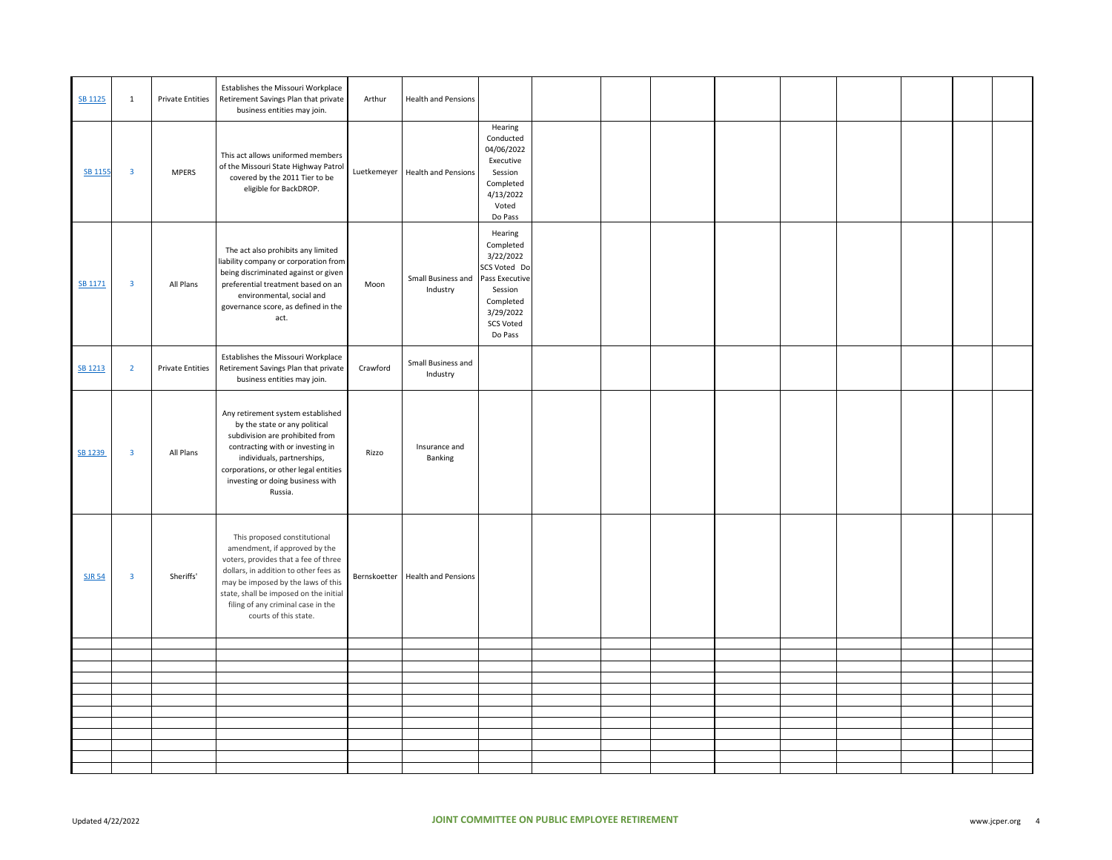| SB 1125        | $\mathbf{1}$            | <b>Private Entities</b> | Establishes the Missouri Workplace<br>Retirement Savings Plan that private<br>business entities may join.                                                                                                                                                                                     | Arthur      | <b>Health and Pensions</b>       |                                                                                                                                         |  |  |  |  |  |
|----------------|-------------------------|-------------------------|-----------------------------------------------------------------------------------------------------------------------------------------------------------------------------------------------------------------------------------------------------------------------------------------------|-------------|----------------------------------|-----------------------------------------------------------------------------------------------------------------------------------------|--|--|--|--|--|
| <b>SB 1155</b> | $\mathbf{3}$            | <b>MPERS</b>            | This act allows uniformed members<br>of the Missouri State Highway Patrol<br>covered by the 2011 Tier to be<br>eligible for BackDROP.                                                                                                                                                         | Luetkemeyer | <b>Health and Pensions</b>       | Hearing<br>Conducted<br>04/06/2022<br>Executive<br>Session<br>Completed<br>4/13/2022<br>Voted<br>Do Pass                                |  |  |  |  |  |
| SB 1171        | $\mathbf{3}$            | All Plans               | The act also prohibits any limited<br>liability company or corporation from<br>being discriminated against or given<br>preferential treatment based on an<br>environmental, social and<br>governance score, as defined in the<br>act.                                                         | Moon        | Small Business and<br>Industry   | Hearing<br>Completed<br>3/22/2022<br>SCS Voted Do<br>Pass Executive<br>Session<br>Completed<br>3/29/2022<br><b>SCS Voted</b><br>Do Pass |  |  |  |  |  |
| SB 1213        | $\overline{2}$          | <b>Private Entities</b> | Establishes the Missouri Workplace<br>Retirement Savings Plan that private<br>business entities may join.                                                                                                                                                                                     | Crawford    | Small Business and<br>Industry   |                                                                                                                                         |  |  |  |  |  |
| SB 1239        | $\overline{\mathbf{3}}$ | All Plans               | Any retirement system established<br>by the state or any political<br>subdivision are prohibited from<br>contracting with or investing in<br>individuals, partnerships,<br>corporations, or other legal entities<br>investing or doing business with<br>Russia.                               | Rizzo       | Insurance and<br>Banking         |                                                                                                                                         |  |  |  |  |  |
| <b>SJR 54</b>  | $\overline{\mathbf{3}}$ | Sheriffs'               | This proposed constitutional<br>amendment, if approved by the<br>voters, provides that a fee of three<br>dollars, in addition to other fees as<br>may be imposed by the laws of this<br>state, shall be imposed on the initial<br>filing of any criminal case in the<br>courts of this state. |             | Bernskoetter Health and Pensions |                                                                                                                                         |  |  |  |  |  |
|                |                         |                         |                                                                                                                                                                                                                                                                                               |             |                                  |                                                                                                                                         |  |  |  |  |  |
|                |                         |                         |                                                                                                                                                                                                                                                                                               |             |                                  |                                                                                                                                         |  |  |  |  |  |
|                |                         |                         |                                                                                                                                                                                                                                                                                               |             |                                  |                                                                                                                                         |  |  |  |  |  |
|                |                         |                         |                                                                                                                                                                                                                                                                                               |             |                                  |                                                                                                                                         |  |  |  |  |  |
|                |                         |                         |                                                                                                                                                                                                                                                                                               |             |                                  |                                                                                                                                         |  |  |  |  |  |
|                |                         |                         |                                                                                                                                                                                                                                                                                               |             |                                  |                                                                                                                                         |  |  |  |  |  |
|                |                         |                         |                                                                                                                                                                                                                                                                                               |             |                                  |                                                                                                                                         |  |  |  |  |  |
|                |                         |                         |                                                                                                                                                                                                                                                                                               |             |                                  |                                                                                                                                         |  |  |  |  |  |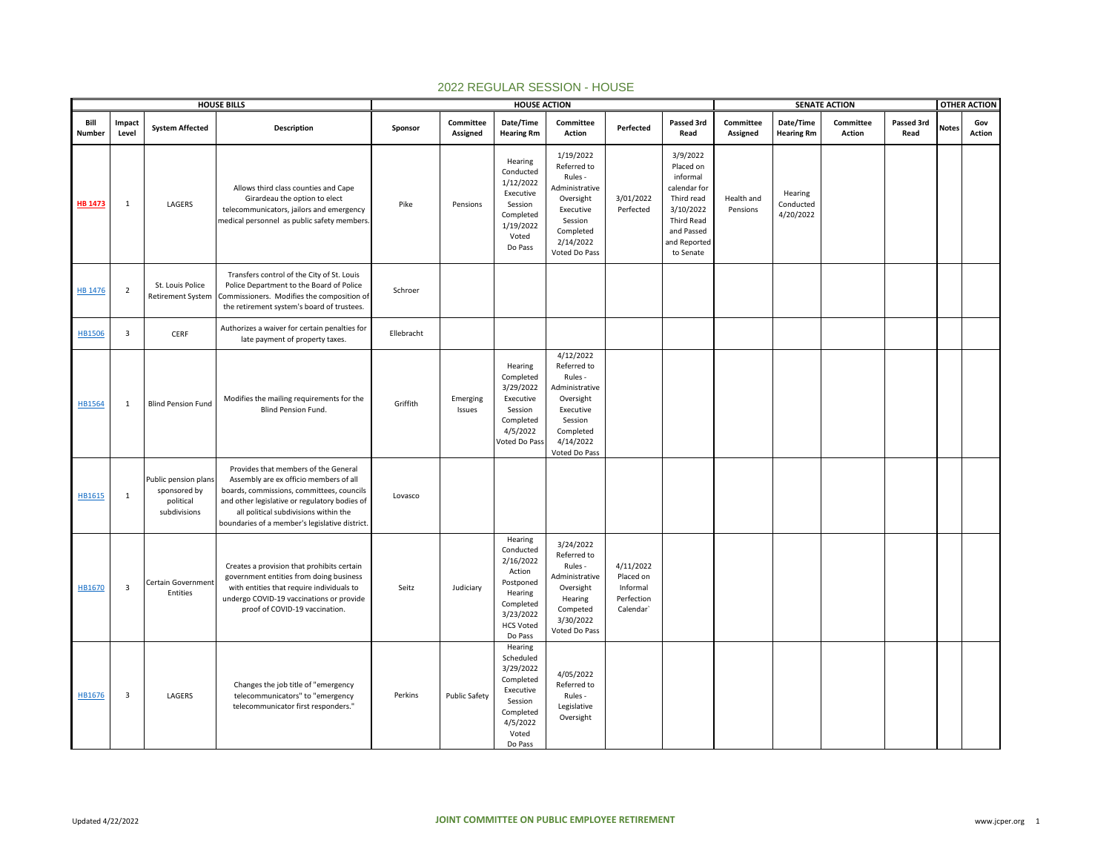|                |                         |                                                                   | <b>HOUSE BILLS</b>                                                                                                                                                                                                                                                      |            |                       | <b>HOUSE ACTION</b>                                                                                                          |                                                                                                                                       |                                                               |                                                                                                                                       |                        |                                   | <b>SENATE ACTION</b> |                    |              | <b>OTHER ACTION</b> |
|----------------|-------------------------|-------------------------------------------------------------------|-------------------------------------------------------------------------------------------------------------------------------------------------------------------------------------------------------------------------------------------------------------------------|------------|-----------------------|------------------------------------------------------------------------------------------------------------------------------|---------------------------------------------------------------------------------------------------------------------------------------|---------------------------------------------------------------|---------------------------------------------------------------------------------------------------------------------------------------|------------------------|-----------------------------------|----------------------|--------------------|--------------|---------------------|
| Bill<br>Number | Impact<br>Level         | <b>System Affected</b>                                            | <b>Description</b>                                                                                                                                                                                                                                                      | Sponsor    | Committee<br>Assigned | Date/Time<br><b>Hearing Rm</b>                                                                                               | Committee<br>Action                                                                                                                   | Perfected                                                     | Passed 3rd<br>Read                                                                                                                    | Committee<br>Assigned  | Date/Time<br><b>Hearing Rm</b>    | Committee<br>Action  | Passed 3rd<br>Read | <b>Notes</b> | Gov<br>Action       |
| <b>HB 1473</b> | $\mathbf{1}$            | LAGERS                                                            | Allows third class counties and Cape<br>Girardeau the option to elect<br>telecommunicators, jailors and emergency<br>medical personnel as public safety members.                                                                                                        | Pike       | Pensions              | Hearing<br>Conducted<br>1/12/2022<br>Executive<br>Session<br>Completed<br>1/19/2022<br>Voted<br>Do Pass                      | 1/19/2022<br>Referred to<br>Rules -<br>Administrative<br>Oversight<br>Executive<br>Session<br>Completed<br>2/14/2022<br>Voted Do Pass | 3/01/2022<br>Perfected                                        | 3/9/2022<br>Placed on<br>informal<br>calendar for<br>Third read<br>3/10/2022<br>Third Read<br>and Passed<br>and Reported<br>to Senate | Health and<br>Pensions | Hearing<br>Conducted<br>4/20/2022 |                      |                    |              |                     |
| <b>HB 1476</b> | $\overline{2}$          | St. Louis Police<br><b>Retirement System</b>                      | Transfers control of the City of St. Louis<br>Police Department to the Board of Police<br>Commissioners. Modifies the composition of<br>the retirement system's board of trustees.                                                                                      | Schroer    |                       |                                                                                                                              |                                                                                                                                       |                                                               |                                                                                                                                       |                        |                                   |                      |                    |              |                     |
| <b>HB1506</b>  | $\overline{\mathbf{3}}$ | CERF                                                              | Authorizes a waiver for certain penalties for<br>late payment of property taxes.                                                                                                                                                                                        | Ellebracht |                       |                                                                                                                              |                                                                                                                                       |                                                               |                                                                                                                                       |                        |                                   |                      |                    |              |                     |
| <b>HB1564</b>  | $\mathbf{1}$            | <b>Blind Pension Fund</b>                                         | Modifies the mailing requirements for the<br><b>Blind Pension Fund.</b>                                                                                                                                                                                                 | Griffith   | Emerging<br>Issues    | Hearing<br>Completed<br>3/29/2022<br>Executive<br>Session<br>Completed<br>4/5/2022<br>Voted Do Pass                          | 4/12/2022<br>Referred to<br>Rules -<br>Administrative<br>Oversight<br>Executive<br>Session<br>Completed<br>4/14/2022<br>Voted Do Pass |                                                               |                                                                                                                                       |                        |                                   |                      |                    |              |                     |
| HB1615         | 1                       | Public pension plans<br>sponsored by<br>political<br>subdivisions | Provides that members of the General<br>Assembly are ex officio members of all<br>boards, commissions, committees, councils<br>and other legislative or regulatory bodies of<br>all political subdivisions within the<br>boundaries of a member's legislative district. | Lovasco    |                       |                                                                                                                              |                                                                                                                                       |                                                               |                                                                                                                                       |                        |                                   |                      |                    |              |                     |
| HB1670         | $\overline{\mathbf{3}}$ | Certain Government<br>Entities                                    | Creates a provision that prohibits certain<br>government entities from doing business<br>with entities that require individuals to<br>undergo COVID-19 vaccinations or provide<br>proof of COVID-19 vaccination.                                                        | Seitz      | Judiciary             | Hearing<br>Conducted<br>2/16/2022<br>Action<br>Postponed<br>Hearing<br>Completed<br>3/23/2022<br><b>HCS Voted</b><br>Do Pass | 3/24/2022<br>Referred to<br>Rules -<br>Administrative<br>Oversight<br>Hearing<br>Competed<br>3/30/2022<br>Voted Do Pass               | 4/11/2022<br>Placed on<br>Informal<br>Perfection<br>Calendar' |                                                                                                                                       |                        |                                   |                      |                    |              |                     |
| HB1676         | $\overline{\mathbf{3}}$ | LAGERS                                                            | Changes the job title of "emergency<br>telecommunicators" to "emergency<br>telecommunicator first responders."                                                                                                                                                          | Perkins    | <b>Public Safety</b>  | Hearing<br>Scheduled<br>3/29/2022<br>Completed<br>Executive<br>Session<br>Completed<br>4/5/2022<br>Voted<br>Do Pass          | 4/05/2022<br>Referred to<br>Rules -<br>Legislative<br>Oversight                                                                       |                                                               |                                                                                                                                       |                        |                                   |                      |                    |              |                     |

## 2022 REGULAR SESSION - HOUSE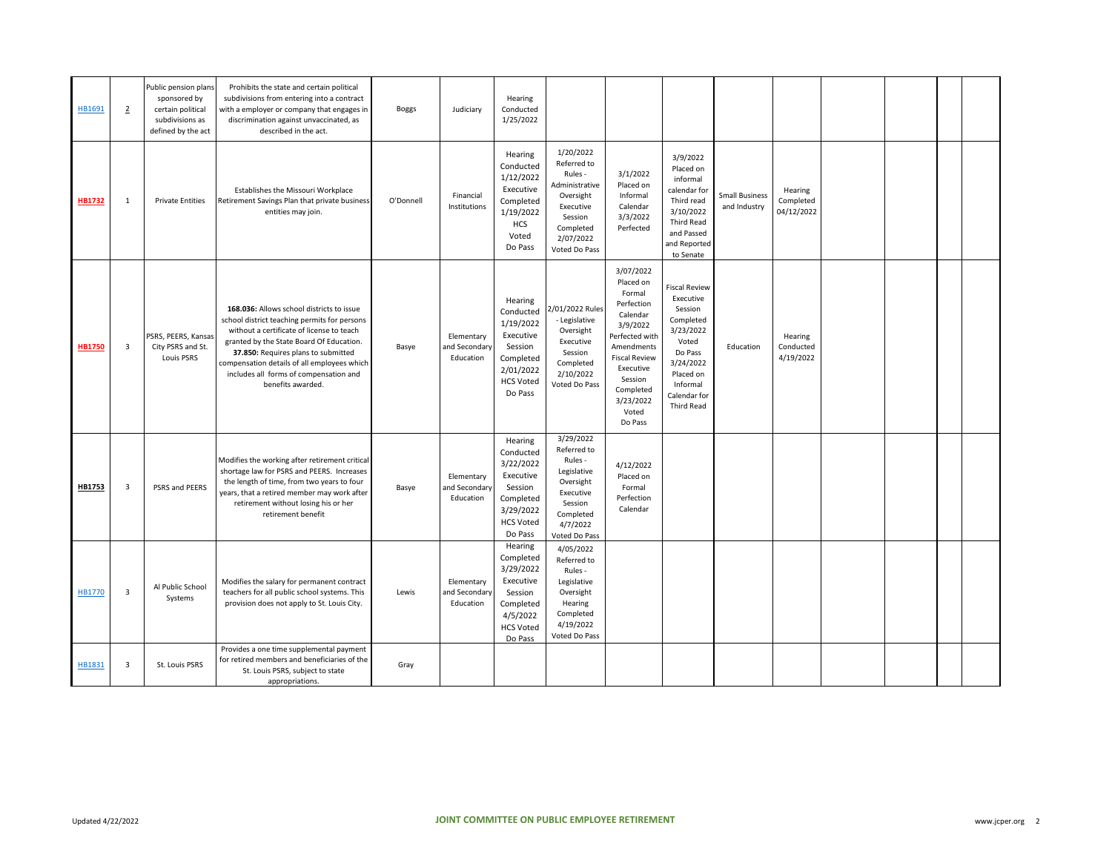| HB1691        | $\overline{2}$          | Public pension plans<br>sponsored by<br>certain political<br>subdivisions as<br>defined by the act | Prohibits the state and certain political<br>subdivisions from entering into a contract<br>with a employer or company that engages in<br>discrimination against unvaccinated, as<br>described in the act.                                                                                                                               | <b>Boggs</b> | Judiciary                                | Hearing<br>Conducted<br>1/25/2022                                                                                  |                                                                                                                                       |                                                                                                                                                                                                      |                                                                                                                                                                       |                                       |                                    |  |  |
|---------------|-------------------------|----------------------------------------------------------------------------------------------------|-----------------------------------------------------------------------------------------------------------------------------------------------------------------------------------------------------------------------------------------------------------------------------------------------------------------------------------------|--------------|------------------------------------------|--------------------------------------------------------------------------------------------------------------------|---------------------------------------------------------------------------------------------------------------------------------------|------------------------------------------------------------------------------------------------------------------------------------------------------------------------------------------------------|-----------------------------------------------------------------------------------------------------------------------------------------------------------------------|---------------------------------------|------------------------------------|--|--|
| <b>HB1732</b> | $\mathbf{1}$            | <b>Private Entities</b>                                                                            | Establishes the Missouri Workplace<br>Retirement Savings Plan that private business<br>entities may join.                                                                                                                                                                                                                               | O'Donnell    | Financial<br>Institutions                | Hearing<br>Conducted<br>1/12/2022<br>Executive<br>Completed<br>1/19/2022<br><b>HCS</b><br>Voted<br>Do Pass         | 1/20/2022<br>Referred to<br>Rules -<br>Administrative<br>Oversight<br>Executive<br>Session<br>Completed<br>2/07/2022<br>Voted Do Pass | 3/1/2022<br>Placed on<br>Informal<br>Calendar<br>3/3/2022<br>Perfected                                                                                                                               | 3/9/2022<br>Placed on<br>informal<br>calendar for<br>Third read<br>3/10/2022<br><b>Third Read</b><br>and Passed<br>and Reported<br>to Senate                          | <b>Small Business</b><br>and Industry | Hearing<br>Completed<br>04/12/2022 |  |  |
| <b>HB1750</b> | 3                       | PSRS, PEERS, Kansas<br>City PSRS and St.<br><b>Louis PSRS</b>                                      | 168.036: Allows school districts to issue<br>school district teaching permits for persons<br>without a certificate of license to teach<br>granted by the State Board Of Education.<br>37.850: Requires plans to submitted<br>compensation details of all employees which<br>includes all forms of compensation and<br>benefits awarded. | Basye        | Elementary<br>and Secondary<br>Education | Hearing<br>Conducted<br>1/19/2022<br>Executive<br>Session<br>Completed<br>2/01/2022<br><b>HCS Voted</b><br>Do Pass | 2/01/2022 Rules<br>- Legislative<br>Oversight<br>Executive<br>Session<br>Completed<br>2/10/2022<br>Voted Do Pass                      | 3/07/2022<br>Placed on<br>Formal<br>Perfection<br>Calendar<br>3/9/2022<br>Perfected with<br>Amendments<br><b>Fiscal Review</b><br>Executive<br>Session<br>Completed<br>3/23/2022<br>Voted<br>Do Pass | <b>Fiscal Review</b><br>Executive<br>Session<br>Completed<br>3/23/2022<br>Voted<br>Do Pass<br>3/24/2022<br>Placed on<br>Informal<br>Calendar for<br><b>Third Read</b> | Education                             | Hearing<br>Conducted<br>4/19/2022  |  |  |
| HB1753        | $\overline{\mathbf{3}}$ | PSRS and PEERS                                                                                     | Modifies the working after retirement critical<br>shortage law for PSRS and PEERS. Increases<br>the length of time, from two years to four<br>years, that a retired member may work after<br>retirement without losing his or her<br>retirement benefit                                                                                 | Basye        | Elementary<br>and Secondary<br>Education | Hearing<br>Conducted<br>3/22/2022<br>Executive<br>Session<br>Completed<br>3/29/2022<br><b>HCS Voted</b><br>Do Pass | 3/29/2022<br>Referred to<br>Rules -<br>Legislative<br>Oversight<br>Executive<br>Session<br>Completed<br>4/7/2022<br>Voted Do Pass     | 4/12/2022<br>Placed on<br>Formal<br>Perfection<br>Calendar                                                                                                                                           |                                                                                                                                                                       |                                       |                                    |  |  |
| HB1770        | $\overline{\mathbf{3}}$ | Al Public School<br>Systems                                                                        | Modifies the salary for permanent contract<br>teachers for all public school systems. This<br>provision does not apply to St. Louis City.                                                                                                                                                                                               | Lewis        | Elementary<br>and Secondary<br>Education | Hearing<br>Completed<br>3/29/2022<br>Executive<br>Session<br>Completed<br>4/5/2022<br><b>HCS Voted</b><br>Do Pass  | 4/05/2022<br>Referred to<br>Rules -<br>Legislative<br>Oversight<br>Hearing<br>Completed<br>4/19/2022<br>Voted Do Pass                 |                                                                                                                                                                                                      |                                                                                                                                                                       |                                       |                                    |  |  |
| HB1831        | $\overline{\mathbf{3}}$ | St. Louis PSRS                                                                                     | Provides a one time supplemental payment<br>for retired members and beneficiaries of the<br>St. Louis PSRS, subject to state<br>appropriations.                                                                                                                                                                                         | Gray         |                                          |                                                                                                                    |                                                                                                                                       |                                                                                                                                                                                                      |                                                                                                                                                                       |                                       |                                    |  |  |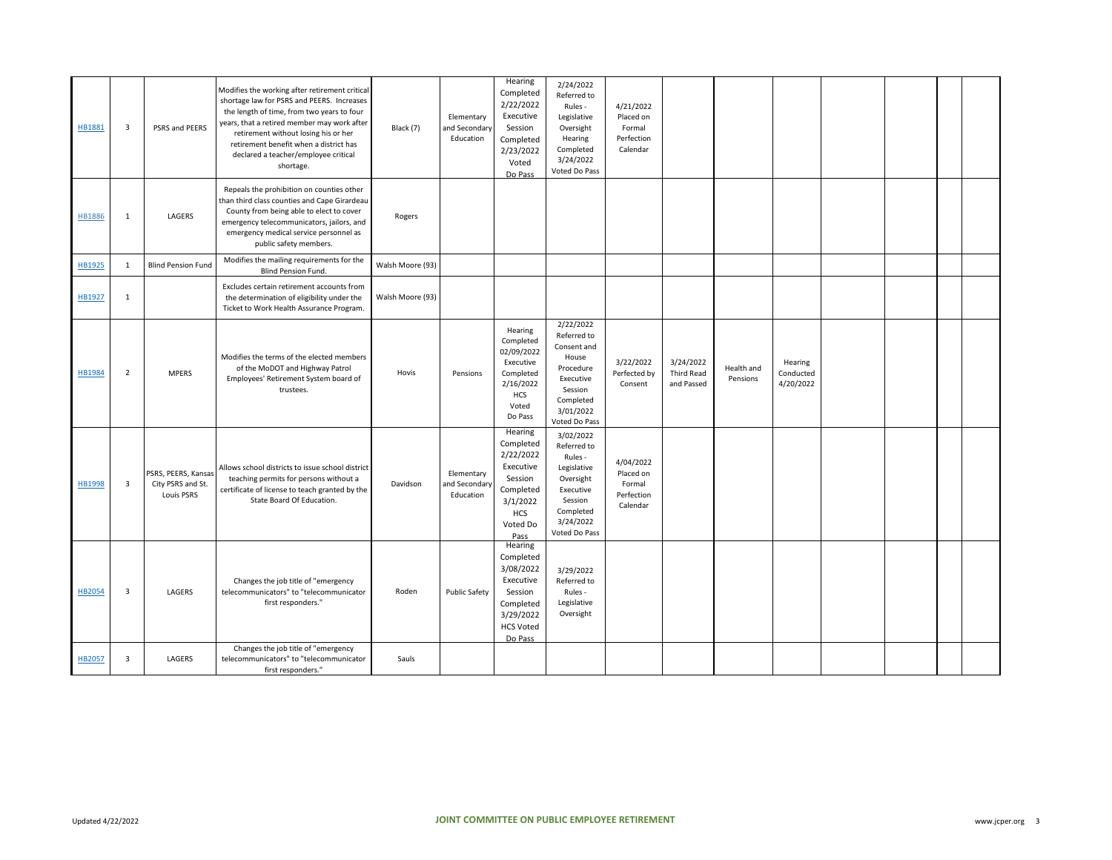| HB1881        | $\overline{\mathbf{3}}$ | PSRS and PEERS                                         | Modifies the working after retirement critical<br>shortage law for PSRS and PEERS. Increases<br>the length of time, from two years to four<br>years, that a retired member may work after<br>retirement without losing his or her<br>retirement benefit when a district has<br>declared a teacher/employee critical<br>shortage. | Black (7)        | Elementary<br>and Secondary<br>Education | Hearing<br>Completed<br>2/22/2022<br>Executive<br>Session<br>Completed<br>2/23/2022<br>Voted<br>Do Pass              | 2/24/2022<br>Referred to<br>Rules -<br>Legislative<br>Oversight<br>Hearing<br>Completed<br>3/24/2022<br>Voted Do Pass              | 4/21/2022<br>Placed on<br>Formal<br>Perfection<br>Calendar |                                       |                        |                                   |  |  |
|---------------|-------------------------|--------------------------------------------------------|----------------------------------------------------------------------------------------------------------------------------------------------------------------------------------------------------------------------------------------------------------------------------------------------------------------------------------|------------------|------------------------------------------|----------------------------------------------------------------------------------------------------------------------|------------------------------------------------------------------------------------------------------------------------------------|------------------------------------------------------------|---------------------------------------|------------------------|-----------------------------------|--|--|
| <b>HB1886</b> | $\mathbf{1}$            | LAGERS                                                 | Repeals the prohibition on counties other<br>than third class counties and Cape Girardeau<br>County from being able to elect to cover<br>emergency telecommunicators, jailors, and<br>emergency medical service personnel as<br>public safety members.                                                                           | Rogers           |                                          |                                                                                                                      |                                                                                                                                    |                                                            |                                       |                        |                                   |  |  |
| HB1925        | 1                       | <b>Blind Pension Fund</b>                              | Modifies the mailing requirements for the<br>Blind Pension Fund.                                                                                                                                                                                                                                                                 | Walsh Moore (93) |                                          |                                                                                                                      |                                                                                                                                    |                                                            |                                       |                        |                                   |  |  |
| HB1927        | $\mathbf{1}$            |                                                        | Excludes certain retirement accounts from<br>the determination of eligibility under the<br>Ticket to Work Health Assurance Program.                                                                                                                                                                                              | Walsh Moore (93) |                                          |                                                                                                                      |                                                                                                                                    |                                                            |                                       |                        |                                   |  |  |
| HB1984        | $\overline{2}$          | <b>MPERS</b>                                           | Modifies the terms of the elected members<br>of the MoDOT and Highway Patrol<br>Employees' Retirement System board of<br>trustees.                                                                                                                                                                                               | Hovis            | Pensions                                 | Hearing<br>Completed<br>02/09/2022<br>Executive<br>Completed<br>2/16/2022<br>HCS<br>Voted<br>Do Pass                 | 2/22/2022<br>Referred to<br>Consent and<br>House<br>Procedure<br>Executive<br>Session<br>Completed<br>3/01/2022<br>Voted Do Pass   | 3/22/2022<br>Perfected by<br>Consent                       | 3/24/2022<br>Third Read<br>and Passed | Health and<br>Pensions | Hearing<br>Conducted<br>4/20/2022 |  |  |
| HB1998        | 3                       | PSRS, PEERS, Kansas<br>City PSRS and St.<br>Louis PSRS | Allows school districts to issue school district<br>teaching permits for persons without a<br>certificate of license to teach granted by the<br>State Board Of Education.                                                                                                                                                        | Davidson         | Elementary<br>and Secondary<br>Education | Hearing<br>Completed<br>2/22/2022<br>Executive<br>Session<br>Completed<br>3/1/2022<br><b>HCS</b><br>Voted Do<br>Pass | 3/02/2022<br>Referred to<br>Rules -<br>Legislative<br>Oversight<br>Executive<br>Session<br>Completed<br>3/24/2022<br>Voted Do Pass | 4/04/2022<br>Placed on<br>Formal<br>Perfection<br>Calendar |                                       |                        |                                   |  |  |
| HB2054        | $\overline{\mathbf{3}}$ | LAGERS                                                 | Changes the job title of "emergency<br>telecommunicators" to "telecommunicator<br>first responders."                                                                                                                                                                                                                             | Roden            | <b>Public Safety</b>                     | Hearing<br>Completed<br>3/08/2022<br>Executive<br>Session<br>Completed<br>3/29/2022<br><b>HCS Voted</b><br>Do Pass   | 3/29/2022<br>Referred to<br>Rules -<br>Legislative<br>Oversight                                                                    |                                                            |                                       |                        |                                   |  |  |
| <b>HB2057</b> | $\overline{\mathbf{3}}$ | LAGERS                                                 | Changes the job title of "emergency<br>telecommunicators" to "telecommunicator<br>first responders."                                                                                                                                                                                                                             | Sauls            |                                          |                                                                                                                      |                                                                                                                                    |                                                            |                                       |                        |                                   |  |  |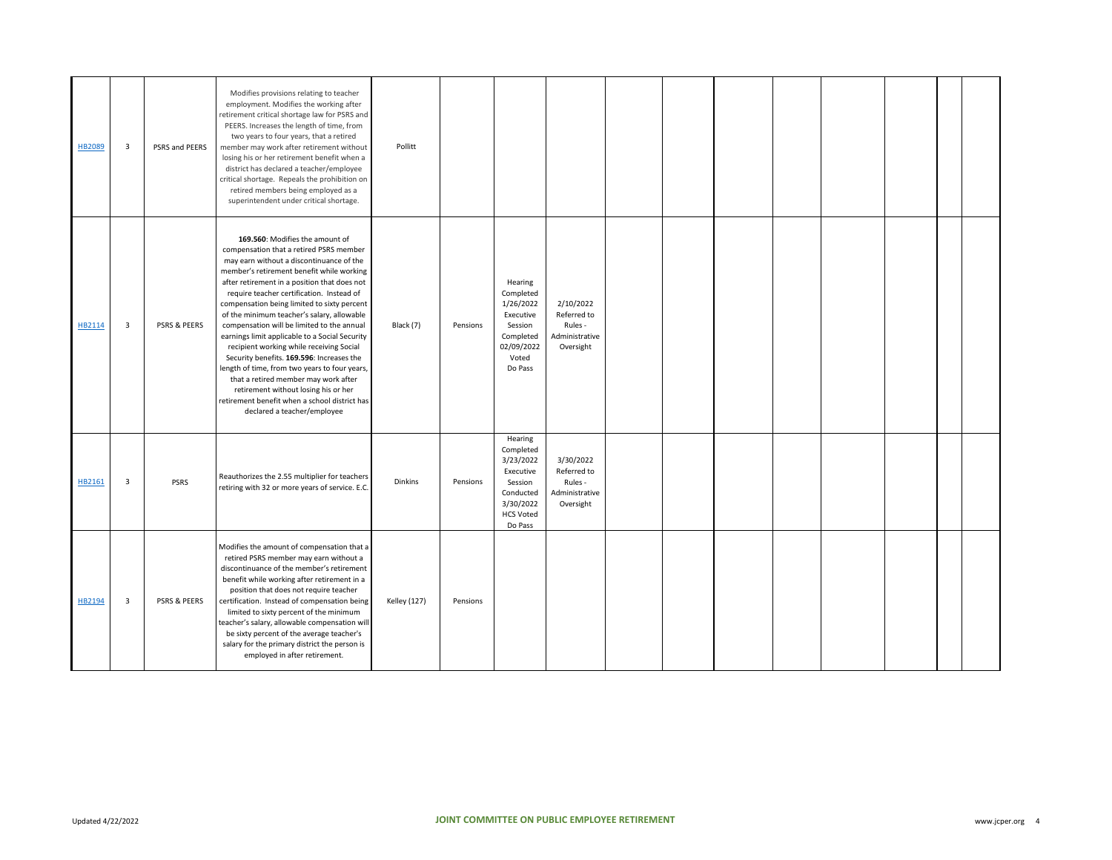| HB2089 | 3 | PSRS and PEERS | Modifies provisions relating to teacher<br>employment. Modifies the working after<br>retirement critical shortage law for PSRS and<br>PEERS. Increases the length of time, from<br>two years to four years, that a retired<br>member may work after retirement without<br>losing his or her retirement benefit when a<br>district has declared a teacher/employee<br>critical shortage. Repeals the prohibition on<br>retired members being employed as a<br>superintendent under critical shortage.                                                                                                                                                                                                                                                                    | Pollitt             |          |                                                                                                                    |                                                                    |  |  |  |  |
|--------|---|----------------|-------------------------------------------------------------------------------------------------------------------------------------------------------------------------------------------------------------------------------------------------------------------------------------------------------------------------------------------------------------------------------------------------------------------------------------------------------------------------------------------------------------------------------------------------------------------------------------------------------------------------------------------------------------------------------------------------------------------------------------------------------------------------|---------------------|----------|--------------------------------------------------------------------------------------------------------------------|--------------------------------------------------------------------|--|--|--|--|
| HB2114 | 3 | PSRS & PEERS   | 169.560: Modifies the amount of<br>compensation that a retired PSRS member<br>may earn without a discontinuance of the<br>member's retirement benefit while working<br>after retirement in a position that does not<br>require teacher certification. Instead of<br>compensation being limited to sixty percent<br>of the minimum teacher's salary, allowable<br>compensation will be limited to the annual<br>earnings limit applicable to a Social Security<br>recipient working while receiving Social<br>Security benefits. 169.596: Increases the<br>length of time, from two years to four years,<br>that a retired member may work after<br>retirement without losing his or her<br>retirement benefit when a school district has<br>declared a teacher/employee | Black (7)           | Pensions | Hearing<br>Completed<br>1/26/2022<br>Executive<br>Session<br>Completed<br>02/09/2022<br>Voted<br>Do Pass           | 2/10/2022<br>Referred to<br>Rules -<br>Administrative<br>Oversight |  |  |  |  |
| HB2161 | 3 | <b>PSRS</b>    | Reauthorizes the 2.55 multiplier for teachers<br>retiring with 32 or more years of service. E.C.                                                                                                                                                                                                                                                                                                                                                                                                                                                                                                                                                                                                                                                                        | <b>Dinkins</b>      | Pensions | Hearing<br>Completed<br>3/23/2022<br>Executive<br>Session<br>Conducted<br>3/30/2022<br><b>HCS Voted</b><br>Do Pass | 3/30/2022<br>Referred to<br>Rules -<br>Administrative<br>Oversight |  |  |  |  |
| HB2194 | 3 | PSRS & PEERS   | Modifies the amount of compensation that a<br>retired PSRS member may earn without a<br>discontinuance of the member's retirement<br>benefit while working after retirement in a<br>position that does not require teacher<br>certification. Instead of compensation being<br>limited to sixty percent of the minimum<br>teacher's salary, allowable compensation will<br>be sixty percent of the average teacher's<br>salary for the primary district the person is<br>employed in after retirement.                                                                                                                                                                                                                                                                   | <b>Kelley (127)</b> | Pensions |                                                                                                                    |                                                                    |  |  |  |  |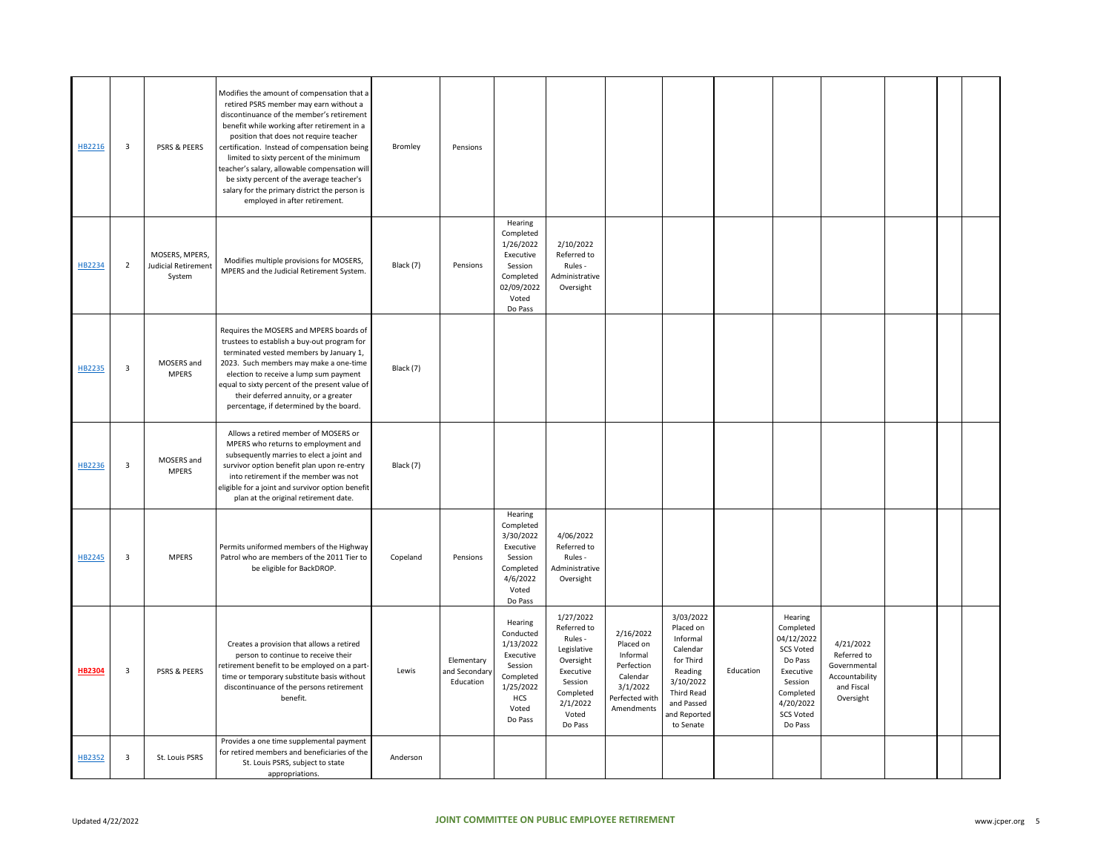| HB2216        | 3              | PSRS & PEERS                                    | Modifies the amount of compensation that a<br>retired PSRS member may earn without a<br>discontinuance of the member's retirement<br>benefit while working after retirement in a<br>position that does not require teacher<br>certification. Instead of compensation being<br>limited to sixty percent of the minimum<br>teacher's salary, allowable compensation will<br>be sixty percent of the average teacher's<br>salary for the primary district the person is<br>employed in after retirement. | Bromley   | Pensions                                 |                                                                                                                |                                                                                                                                      |                                                                                                          |                                                                                                                                              |           |                                                                                                                                                    |                                                                                       |  |  |
|---------------|----------------|-------------------------------------------------|-------------------------------------------------------------------------------------------------------------------------------------------------------------------------------------------------------------------------------------------------------------------------------------------------------------------------------------------------------------------------------------------------------------------------------------------------------------------------------------------------------|-----------|------------------------------------------|----------------------------------------------------------------------------------------------------------------|--------------------------------------------------------------------------------------------------------------------------------------|----------------------------------------------------------------------------------------------------------|----------------------------------------------------------------------------------------------------------------------------------------------|-----------|----------------------------------------------------------------------------------------------------------------------------------------------------|---------------------------------------------------------------------------------------|--|--|
| HB2234        | $\overline{2}$ | MOSERS, MPERS,<br>Judicial Retirement<br>System | Modifies multiple provisions for MOSERS,<br>MPERS and the Judicial Retirement System.                                                                                                                                                                                                                                                                                                                                                                                                                 | Black (7) | Pensions                                 | Hearing<br>Completed<br>1/26/2022<br>Executive<br>Session<br>Completed<br>02/09/2022<br>Voted<br>Do Pass       | 2/10/2022<br>Referred to<br>Rules -<br>Administrative<br>Oversight                                                                   |                                                                                                          |                                                                                                                                              |           |                                                                                                                                                    |                                                                                       |  |  |
| HB2235        | 3              | MOSERS and<br><b>MPERS</b>                      | Requires the MOSERS and MPERS boards of<br>trustees to establish a buy-out program for<br>terminated vested members by January 1,<br>2023. Such members may make a one-time<br>election to receive a lump sum payment<br>equal to sixty percent of the present value of<br>their deferred annuity, or a greater<br>percentage, if determined by the board.                                                                                                                                            | Black (7) |                                          |                                                                                                                |                                                                                                                                      |                                                                                                          |                                                                                                                                              |           |                                                                                                                                                    |                                                                                       |  |  |
| HB2236        | $\mathbf{3}$   | MOSERS and<br><b>MPERS</b>                      | Allows a retired member of MOSERS or<br>MPERS who returns to employment and<br>subsequently marries to elect a joint and<br>survivor option benefit plan upon re-entry<br>into retirement if the member was not<br>eligible for a joint and survivor option benefit<br>plan at the original retirement date.                                                                                                                                                                                          | Black (7) |                                          |                                                                                                                |                                                                                                                                      |                                                                                                          |                                                                                                                                              |           |                                                                                                                                                    |                                                                                       |  |  |
| HB2245        | 3              | <b>MPERS</b>                                    | Permits uniformed members of the Highway<br>Patrol who are members of the 2011 Tier to<br>be eligible for BackDROP.                                                                                                                                                                                                                                                                                                                                                                                   | Copeland  | Pensions                                 | Hearing<br>Completed<br>3/30/2022<br>Executive<br>Session<br>Completed<br>4/6/2022<br>Voted<br>Do Pass         | 4/06/2022<br>Referred to<br>Rules -<br>Administrative<br>Oversight                                                                   |                                                                                                          |                                                                                                                                              |           |                                                                                                                                                    |                                                                                       |  |  |
| <b>HB2304</b> | 3              | <b>PSRS &amp; PEERS</b>                         | Creates a provision that allows a retired<br>person to continue to receive their<br>retirement benefit to be employed on a part-<br>time or temporary substitute basis without<br>discontinuance of the persons retirement<br>benefit.                                                                                                                                                                                                                                                                | Lewis     | Elementary<br>and Secondary<br>Education | Hearing<br>Conducted<br>1/13/2022<br>Executive<br>Session<br>Completed<br>1/25/2022<br>HCS<br>Voted<br>Do Pass | 1/27/2022<br>Referred to<br>Rules -<br>Legislative<br>Oversight<br>Executive<br>Session<br>Completed<br>2/1/2022<br>Voted<br>Do Pass | 2/16/2022<br>Placed on<br>Informal<br>Perfection<br>Calendar<br>3/1/2022<br>Perfected with<br>Amendments | 3/03/2022<br>Placed on<br>Informal<br>Calendar<br>for Third<br>Reading<br>3/10/2022<br>Third Read<br>and Passed<br>and Reported<br>to Senate | Education | Hearing<br>Completed<br>04/12/2022<br><b>SCS Voted</b><br>Do Pass<br>Executive<br>Session<br>Completed<br>4/20/2022<br><b>SCS Voted</b><br>Do Pass | 4/21/2022<br>Referred to<br>Governmental<br>Accountability<br>and Fiscal<br>Oversight |  |  |
| HB2352        | $\mathbf{3}$   | St. Louis PSRS                                  | Provides a one time supplemental payment<br>for retired members and beneficiaries of the<br>St. Louis PSRS, subject to state<br>appropriations.                                                                                                                                                                                                                                                                                                                                                       | Anderson  |                                          |                                                                                                                |                                                                                                                                      |                                                                                                          |                                                                                                                                              |           |                                                                                                                                                    |                                                                                       |  |  |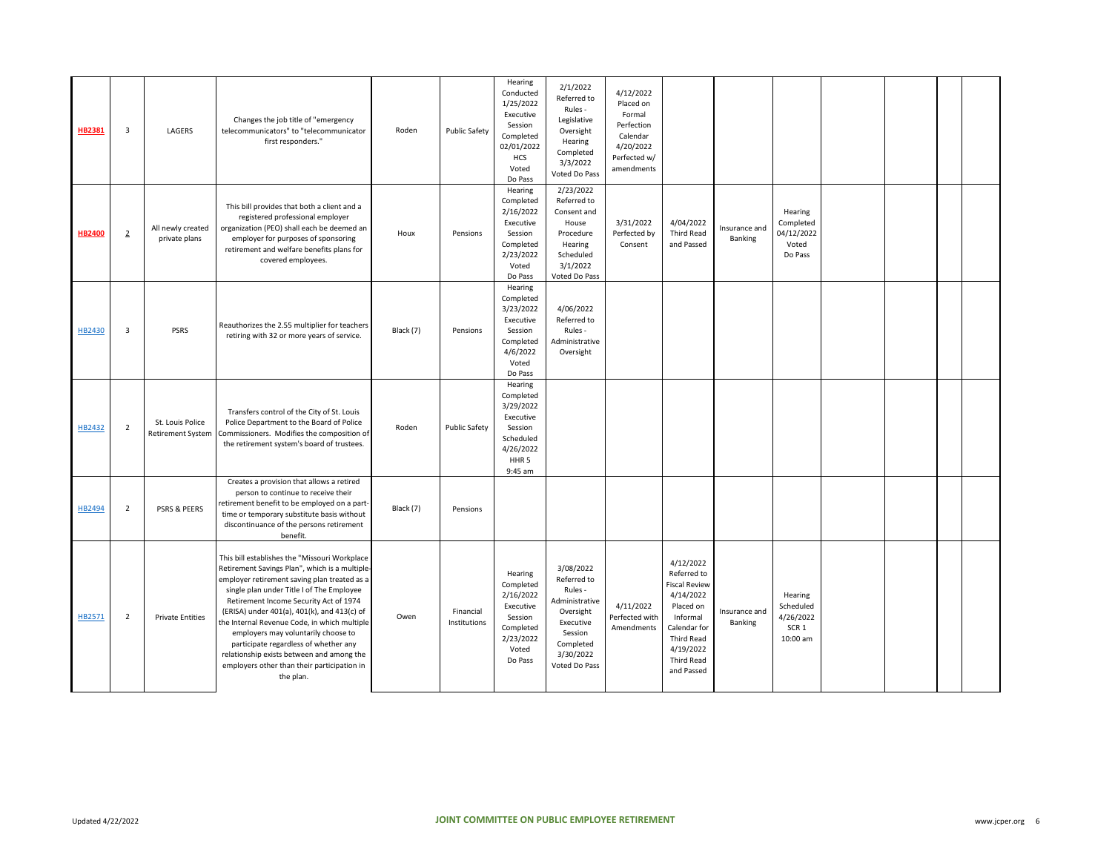| HB2381        | $\overline{3}$ | LAGERS                                       | Changes the job title of "emergency<br>telecommunicators" to "telecommunicator<br>first responders."                                                                                                                                                                                                                                                                                                                                                                                                                          | Roden     | <b>Public Safety</b>      | Hearing<br>Conducted<br>1/25/2022<br>Executive<br>Session<br>Completed<br>02/01/2022<br><b>HCS</b><br>Voted<br>Do Pass | 2/1/2022<br>Referred to<br>Rules -<br>Legislative<br>Oversight<br>Hearing<br>Completed<br>3/3/2022<br>Voted Do Pass                   | 4/12/2022<br>Placed on<br>Formal<br>Perfection<br>Calendar<br>4/20/2022<br>Perfected w/<br>amendments |                                                                                                                                                               |                          |                                                                   |  |  |
|---------------|----------------|----------------------------------------------|-------------------------------------------------------------------------------------------------------------------------------------------------------------------------------------------------------------------------------------------------------------------------------------------------------------------------------------------------------------------------------------------------------------------------------------------------------------------------------------------------------------------------------|-----------|---------------------------|------------------------------------------------------------------------------------------------------------------------|---------------------------------------------------------------------------------------------------------------------------------------|-------------------------------------------------------------------------------------------------------|---------------------------------------------------------------------------------------------------------------------------------------------------------------|--------------------------|-------------------------------------------------------------------|--|--|
| <b>HB2400</b> | $\overline{2}$ | All newly created<br>private plans           | This bill provides that both a client and a<br>registered professional employer<br>organization (PEO) shall each be deemed an<br>employer for purposes of sponsoring<br>retirement and welfare benefits plans for<br>covered employees.                                                                                                                                                                                                                                                                                       | Houx      | Pensions                  | Hearing<br>Completed<br>2/16/2022<br>Executive<br>Session<br>Completed<br>2/23/2022<br>Voted<br>Do Pass                | 2/23/2022<br>Referred to<br>Consent and<br>House<br>Procedure<br>Hearing<br>Scheduled<br>3/1/2022<br>Voted Do Pass                    | 3/31/2022<br>Perfected by<br>Consent                                                                  | 4/04/2022<br><b>Third Read</b><br>and Passed                                                                                                                  | Insurance and<br>Banking | Hearing<br>Completed<br>04/12/2022<br>Voted<br>Do Pass            |  |  |
| HB2430        | 3              | PSRS                                         | Reauthorizes the 2.55 multiplier for teachers<br>retiring with 32 or more years of service.                                                                                                                                                                                                                                                                                                                                                                                                                                   | Black (7) | Pensions                  | Hearing<br>Completed<br>3/23/2022<br>Executive<br>Session<br>Completed<br>4/6/2022<br>Voted<br>Do Pass                 | 4/06/2022<br>Referred to<br>Rules -<br>Administrative<br>Oversight                                                                    |                                                                                                       |                                                                                                                                                               |                          |                                                                   |  |  |
| HB2432        | $\overline{2}$ | St. Louis Police<br><b>Retirement System</b> | Transfers control of the City of St. Louis<br>Police Department to the Board of Police<br>Commissioners. Modifies the composition of<br>the retirement system's board of trustees.                                                                                                                                                                                                                                                                                                                                            | Roden     | <b>Public Safety</b>      | Hearing<br>Completed<br>3/29/2022<br>Executive<br>Session<br>Scheduled<br>4/26/2022<br>HHR <sub>5</sub><br>9:45 am     |                                                                                                                                       |                                                                                                       |                                                                                                                                                               |                          |                                                                   |  |  |
| HB2494        | $\overline{2}$ | PSRS & PEERS                                 | Creates a provision that allows a retired<br>person to continue to receive their<br>retirement benefit to be employed on a part-<br>time or temporary substitute basis without<br>discontinuance of the persons retirement<br>benefit.                                                                                                                                                                                                                                                                                        | Black (7) | Pensions                  |                                                                                                                        |                                                                                                                                       |                                                                                                       |                                                                                                                                                               |                          |                                                                   |  |  |
| HB2571        | 2              | <b>Private Entities</b>                      | This bill establishes the "Missouri Workplace<br>Retirement Savings Plan", which is a multiple<br>employer retirement saving plan treated as a<br>single plan under Title I of The Employee<br>Retirement Income Security Act of 1974<br>(ERISA) under 401(a), 401(k), and 413(c) of<br>the Internal Revenue Code, in which multiple<br>employers may voluntarily choose to<br>participate regardless of whether any<br>relationship exists between and among the<br>employers other than their participation in<br>the plan. | Owen      | Financial<br>Institutions | Hearing<br>Completed<br>2/16/2022<br>Executive<br>Session<br>Completed<br>2/23/2022<br>Voted<br>Do Pass                | 3/08/2022<br>Referred to<br>Rules -<br>Administrative<br>Oversight<br>Executive<br>Session<br>Completed<br>3/30/2022<br>Voted Do Pass | 4/11/2022<br>Perfected with<br>Amendments                                                             | 4/12/2022<br>Referred to<br><b>Fiscal Review</b><br>4/14/2022<br>Placed on<br>Informal<br>Calendar for<br>Third Read<br>4/19/2022<br>Third Read<br>and Passed | Insurance and<br>Banking | Hearing<br>Scheduled<br>4/26/2022<br>SCR <sub>1</sub><br>10:00 am |  |  |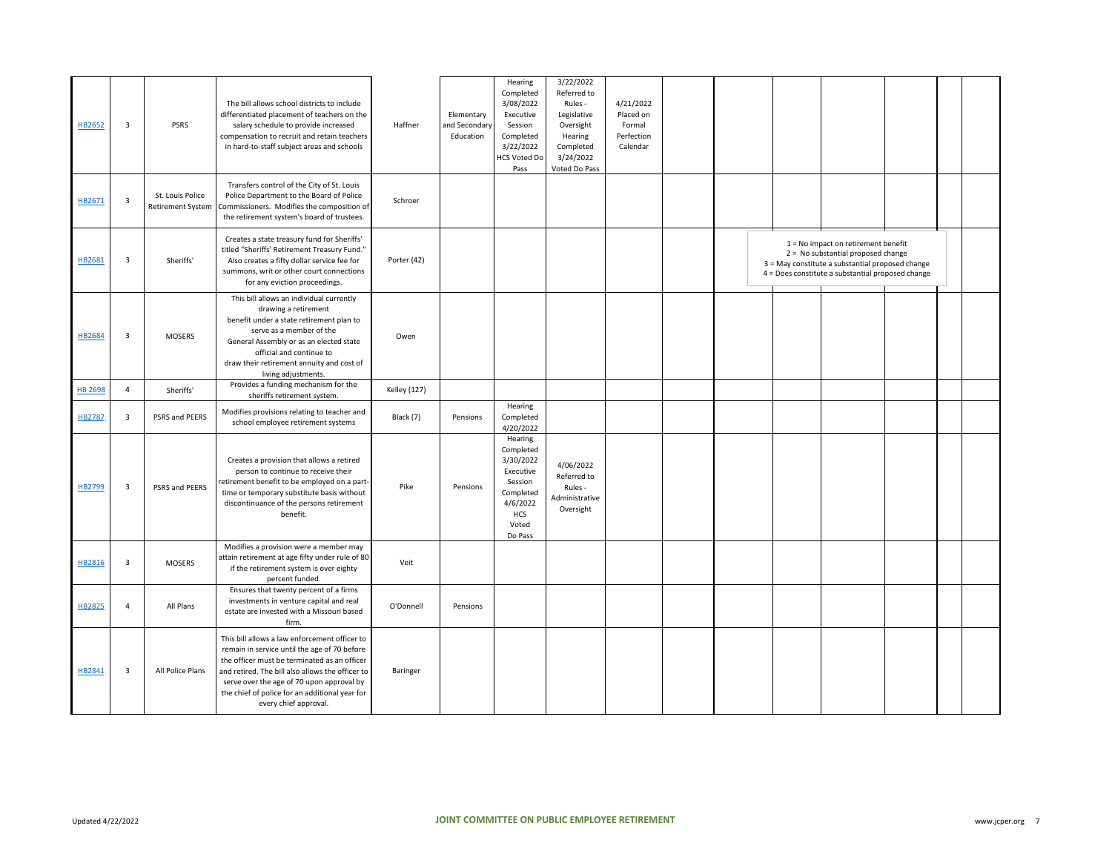| HB2652         | $\overline{\mathbf{3}}$ | <b>PSRS</b>                                  | The bill allows school districts to include<br>differentiated placement of teachers on the<br>salary schedule to provide increased<br>compensation to recruit and retain teachers<br>in hard-to-staff subject areas and schools                                                                                           | Haffner             | Elementary<br>and Secondary<br>Education | Hearing<br>Completed<br>3/08/2022<br>Executive<br>Session<br>Completed<br>3/22/2022<br><b>HCS Voted Do</b><br>Pass   | 3/22/2022<br>Referred to<br>Rules -<br>Legislative<br>Oversight<br>Hearing<br>Completed<br>3/24/2022<br>Voted Do Pass | 4/21/2022<br>Placed on<br>Formal<br>Perfection<br>Calendar |  |                                                                                                                                                                                      |  |  |
|----------------|-------------------------|----------------------------------------------|---------------------------------------------------------------------------------------------------------------------------------------------------------------------------------------------------------------------------------------------------------------------------------------------------------------------------|---------------------|------------------------------------------|----------------------------------------------------------------------------------------------------------------------|-----------------------------------------------------------------------------------------------------------------------|------------------------------------------------------------|--|--------------------------------------------------------------------------------------------------------------------------------------------------------------------------------------|--|--|
| HB2671         | $\overline{\mathbf{3}}$ | St. Louis Police<br><b>Retirement System</b> | Transfers control of the City of St. Louis<br>Police Department to the Board of Police<br>Commissioners. Modifies the composition of<br>the retirement system's board of trustees.                                                                                                                                        | Schroer             |                                          |                                                                                                                      |                                                                                                                       |                                                            |  |                                                                                                                                                                                      |  |  |
| HB2681         | $\overline{\mathbf{3}}$ | Sheriffs'                                    | Creates a state treasury fund for Sheriffs'<br>titled "Sheriffs' Retirement Treasury Fund."<br>Also creates a fifty dollar service fee for<br>summons, writ or other court connections<br>for any eviction proceedings.                                                                                                   | Porter (42)         |                                          |                                                                                                                      |                                                                                                                       |                                                            |  | $1 = No$ impact on retirement benefit<br>2 = No substantial proposed change<br>3 = May constitute a substantial proposed change<br>4 = Does constitute a substantial proposed change |  |  |
| HB2684         | $\overline{\mathbf{3}}$ | <b>MOSERS</b>                                | This bill allows an individual currently<br>drawing a retirement<br>benefit under a state retirement plan to<br>serve as a member of the<br>General Assembly or as an elected state<br>official and continue to<br>draw their retirement annuity and cost of<br>living adjustments.                                       | Owen                |                                          |                                                                                                                      |                                                                                                                       |                                                            |  |                                                                                                                                                                                      |  |  |
| <b>HB 2698</b> | $\overline{4}$          | Sheriffs'                                    | Provides a funding mechanism for the<br>sheriffs retirement system.                                                                                                                                                                                                                                                       | <b>Kelley</b> (127) |                                          |                                                                                                                      |                                                                                                                       |                                                            |  |                                                                                                                                                                                      |  |  |
| HB2787         | $\overline{\mathbf{3}}$ | PSRS and PEERS                               | Modifies provisions relating to teacher and<br>school employee retirement systems                                                                                                                                                                                                                                         | Black (7)           | Pensions                                 | Hearing<br>Completed<br>4/20/2022                                                                                    |                                                                                                                       |                                                            |  |                                                                                                                                                                                      |  |  |
| HB2799         | 3                       | PSRS and PEERS                               | Creates a provision that allows a retired<br>person to continue to receive their<br>retirement benefit to be employed on a part-<br>time or temporary substitute basis without<br>discontinuance of the persons retirement<br>benefit.                                                                                    | Pike                | Pensions                                 | Hearing<br>Completed<br>3/30/2022<br>Executive<br>Session<br>Completed<br>4/6/2022<br><b>HCS</b><br>Voted<br>Do Pass | 4/06/2022<br>Referred to<br>Rules -<br>Administrative<br>Oversight                                                    |                                                            |  |                                                                                                                                                                                      |  |  |
| HB2816         | $\overline{\mathbf{3}}$ | <b>MOSERS</b>                                | Modifies a provision were a member may<br>attain retirement at age fifty under rule of 80<br>if the retirement system is over eighty<br>percent funded.                                                                                                                                                                   | Veit                |                                          |                                                                                                                      |                                                                                                                       |                                                            |  |                                                                                                                                                                                      |  |  |
| HB2825         | $\overline{4}$          | All Plans                                    | Ensures that twenty percent of a firms<br>investments in venture capital and real<br>estate are invested with a Missouri based<br>firm.                                                                                                                                                                                   | O'Donnell           | Pensions                                 |                                                                                                                      |                                                                                                                       |                                                            |  |                                                                                                                                                                                      |  |  |
| HB2841         | 3                       | All Police Plans                             | This bill allows a law enforcement officer to<br>remain in service until the age of 70 before<br>the officer must be terminated as an officer<br>and retired. The bill also allows the officer to<br>serve over the age of 70 upon approval by<br>the chief of police for an additional year for<br>every chief approval. | Baringer            |                                          |                                                                                                                      |                                                                                                                       |                                                            |  |                                                                                                                                                                                      |  |  |